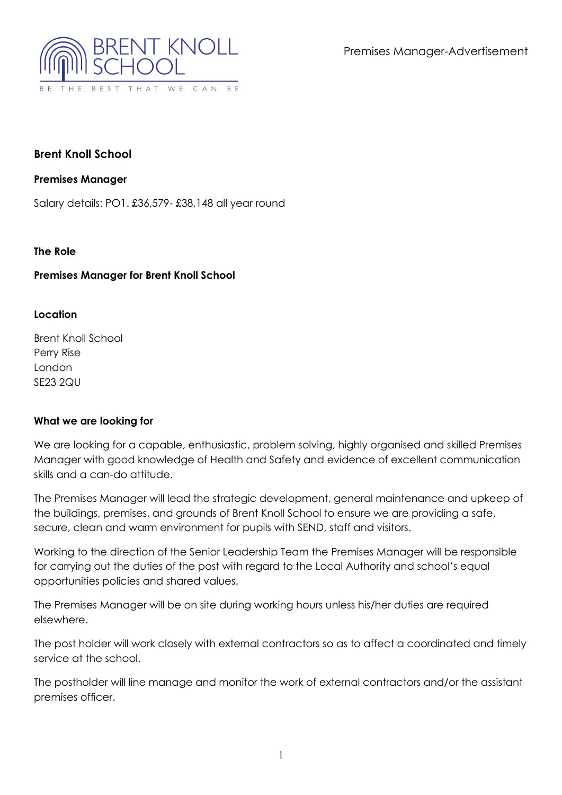Premises Manager-Advertisement



# **Brent Knoll School**

### **Premises Manager**

Salary details: PO1. £36,579- £38,148 all year round

### **The Role**

## **Premises Manager for Brent Knoll School**

### **Location**

Brent Knoll School Perry Rise London SE23 2QU

### **What we are looking for**

We are looking for a capable, enthusiastic, problem solving, highly organised and skilled Premises Manager with good knowledge of Health and Safety and evidence of excellent communication skills and a can-do attitude.

The Premises Manager will lead the strategic development, general maintenance and upkeep of the buildings, premises, and grounds of Brent Knoll School to ensure we are providing a safe, secure, clean and warm environment for pupils with SEND, staff and visitors.

Working to the direction of the Senior Leadership Team the Premises Manager will be responsible for carrying out the duties of the post with regard to the Local Authority and school's equal opportunities policies and shared values.

The Premises Manager will be on site during working hours unless his/her duties are required elsewhere.

The post holder will work closely with external contractors so as to affect a coordinated and timely service at the school.

The postholder will line manage and monitor the work of external contractors and/or the assistant premises officer.